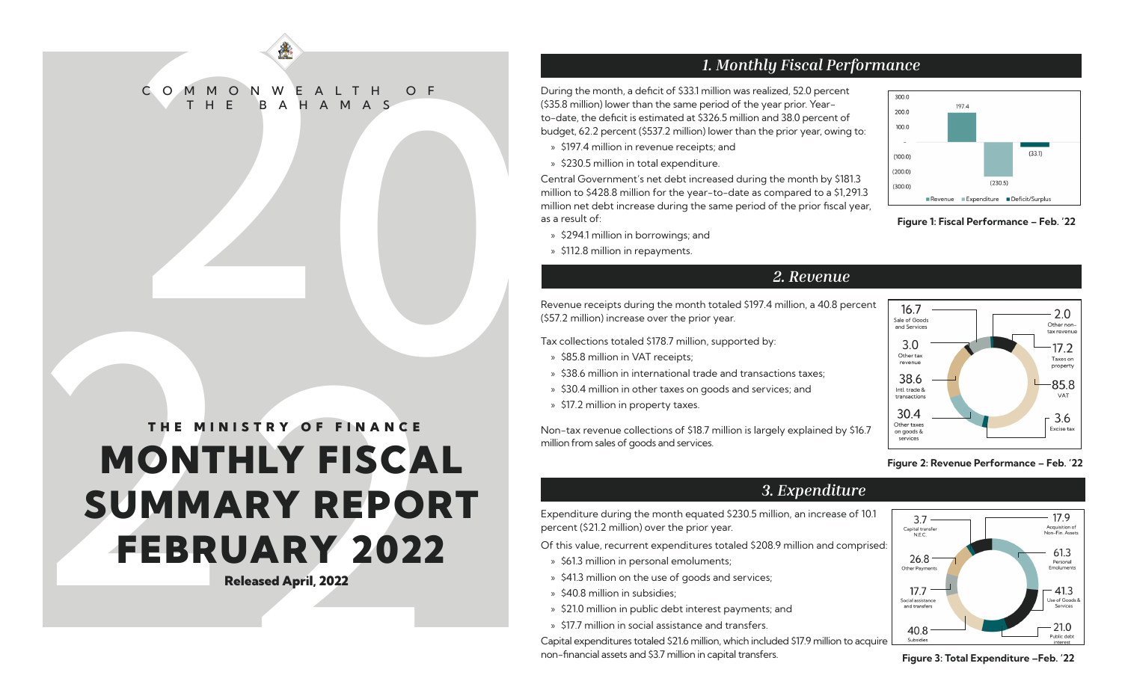# COMMONWEALTH OF C O M M O N W E A L T H O F BAHAMAS

## $1.4449 \text{ N} \cdot \text{C} \cdot \text{C} \cdot \text{C} \cdot \text{C} \cdot \text{C} \cdot \text{C} \cdot \text{C} \cdot \text{C} \cdot \text{C} \cdot \text{C} \cdot \text{C} \cdot \text{C} \cdot \text{C} \cdot \text{C} \cdot \text{C} \cdot \text{C} \cdot \text{C} \cdot \text{C} \cdot \text{C} \cdot \text{C} \cdot \text{C} \cdot \text{C} \cdot \text{C} \cdot \text{C} \cdot \text{C} \cdot \text{C} \cdot \text{C} \cdot \text{C} \cdot \text{C} \cdot \text{C$ MONTHLY FISCAL SUMMARY REPORT FEBRUARY 2022 THE MINISTRY OF FINANCE

Released April, 2022

### *1. Monthly Fiscal Performance*

During the month, a deficit of \$33.1 million was realized, 52.0 percent (\$35.8 million) lower than the same period of the year prior. Yearto-date, the deficit is estimated at \$326.5 million and 38.0 percent of budget, 62.2 percent (\$537.2 million) lower than the prior year, owing to:

- » \$197.4 million in revenue receipts; and
- » \$230.5 million in total expenditure.

Central Government's net debt increased during the month by \$181.3 million to \$428.8 million for the year-to-date as compared to a \$1,291.3 million net debt increase during the same period of the prior fiscal year, as a result of:

- » \$294.1 million in borrowings; and
- » \$112.8 million in repayments.

### *2. Revenue*

Revenue receipts during the month totaled \$197.4 million, a 40.8 percent (\$57.2 million) increase over the prior year.

Tax collections totaled \$178.7 million, supported by:

- » \$85.8 million in VAT receipts;
- » \$38.6 million in international trade and transactions taxes;
- » \$30.4 million in other taxes on goods and services; and
- » \$17.2 million in property taxes.

Non-tax revenue collections of \$18.7 million is largely explained by \$16.7 million from sales of goods and services.



Figure 1: Fiscal Performance – Feb. '22



### Figure 2: Revenue Performance – Feb. '22

Expenditure during the month equated \$230.5 million, an increase of 10.1 percent (\$21.2 million) over the prior year.

Of this value, recurrent expenditures totaled \$208.9 million and comprised:

- » \$61.3 million in personal emoluments;
- » \$41.3 million on the use of goods and services;
- » \$40.8 million in subsidies;
- » \$21.0 million in public debt interest payments; and
- » \$17.7 million in social assistance and transfers.

Capital expenditures totaled \$21.6 million, which included \$17.9 million to acquire non-financial assets and \$3.7 million in capital transfers. Figure 3: Total Expenditure –Feb. '22